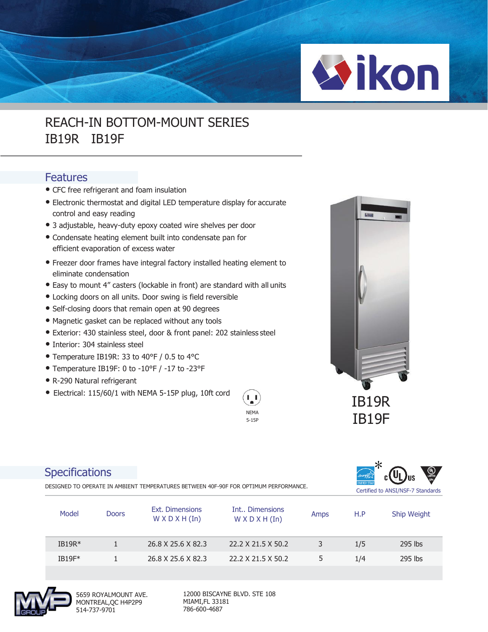

## REACH-IN BOTTOM-MOUNT SERIES IB19R IB19F

## Features

- CFC free refrigerant and foam insulation
- Electronic thermostat and digital LED temperature display for accurate control and easy reading
- 3 adjustable, heavy-duty epoxy coated wire shelves per door
- Condensate heating element built into condensate pan for efficient evaporation of excess water
- Freezer door frames have integral factory installed heating element to eliminate condensation
- Easy to mount 4" casters (lockable in front) are standard with all units
- Locking doors on all units. Door swing is field reversible
- Self-closing doors that remain open at 90 degrees
- Magnetic gasket can be replaced without any tools
- Exterior: 430 stainless steel, door & front panel: 202 stainless steel
- Interior: 304 stainless steel
- Temperature IB19R: 33 to 40°F / 0.5 to 4°C
- Temperature IB19F: 0 to -10°F / -17 to -23°F
- R-290 Natural refrigerant
- Electrical: 115/60/1 with NEMA 5-15P plug, 10ft cord



IB19R IB19F

## **Specifications**

DESIGNED TO OPERATE IN AMBIENT TEMPERATURES BETWEEN 40F-90F FOR OPTIMUM PERFORMANCE.



| Model    | <b>Doors</b> | Ext. Dimensions<br>$W \times D \times H$ (In) | Int Dimensions<br>$W \times D \times H$ (In) | Amps | H.P | Ship Weight |
|----------|--------------|-----------------------------------------------|----------------------------------------------|------|-----|-------------|
| $IB19R*$ |              | 26.8 X 25.6 X 82.3                            | 22.2 X 21.5 X 50.2                           | 3    | 1/5 | $295$ lbs   |
| $IB19F*$ |              | 26.8 X 25.6 X 82.3                            | 22.2 X 21.5 X 50.2                           | 5    | 1/4 | 295 lbs     |



5659 ROYALMOUNT AVE. MONTREAL,QC H4P2P9 514-737-9701

12000 BISCAYNE BLVD. STE 108 MIAMI,FL 33181 786-600-4687